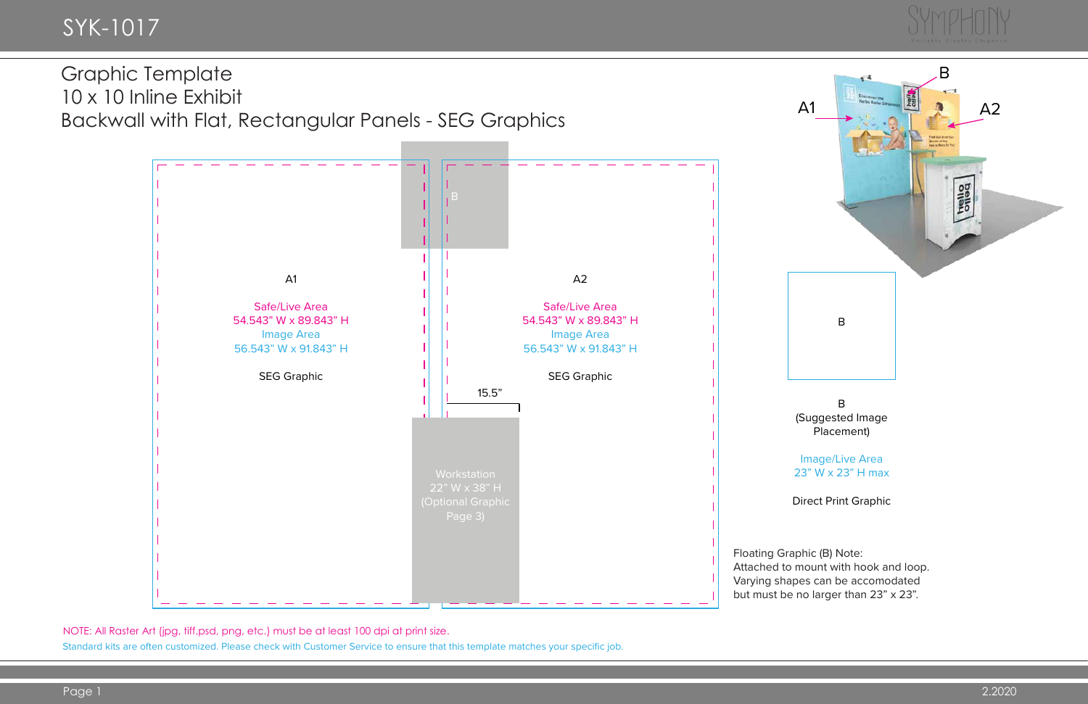NOTE: All Raster Art (jpg, tiff,psd, png, etc.) must be at least 100 dpi at print size.



Standard kits are often customized. Please check with Customer Service to ensure that this template matches your specific job.



Graphic Template 10 x 10 Inline Exhibit Backwall with Flat, Rectangular Panels - SEG Graphics

# SYK-1017

B (Suggested Image Placement)

Image/Live Area 23" W x 23" H max

Direct Print Graphic

Attached to mount with hook and loop. Varying shapes can be accomodated but must be no larger than 23" x 23".

# SYMP

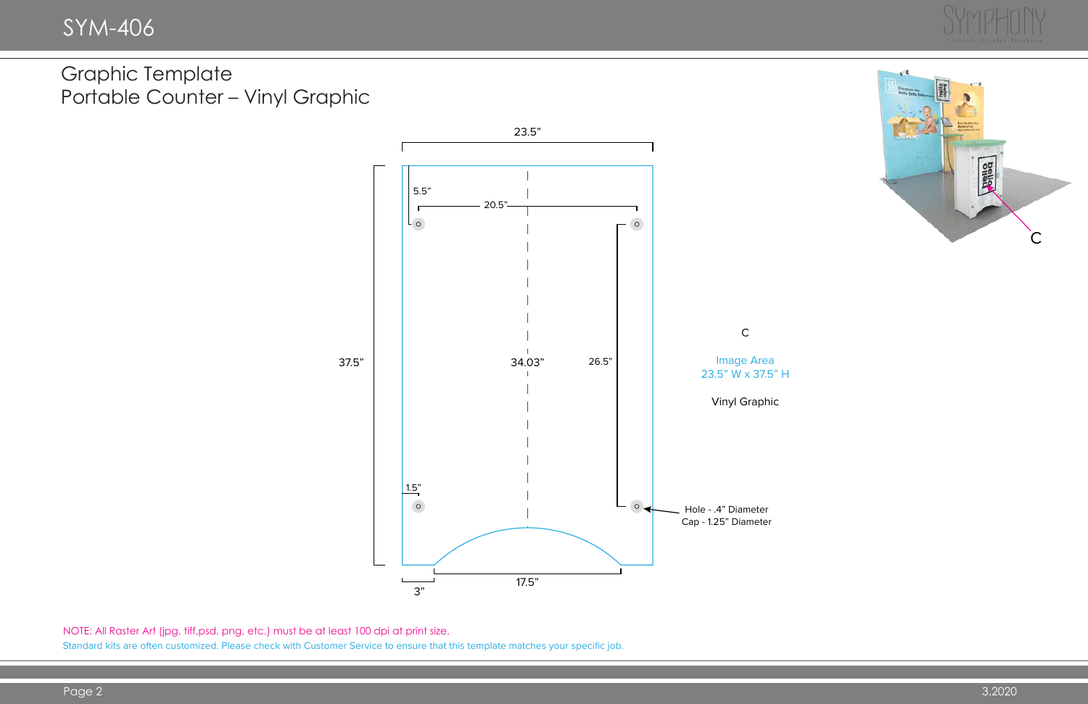

NOTE: All Raster Art (jpg, tiff,psd, png, etc.) must be at least 100 dpi at print size. Standard kits are often customized. Please check with Customer Service to ensure that this template matches your specific job.



Graphic Template Portable Counter – Vinyl Graphic